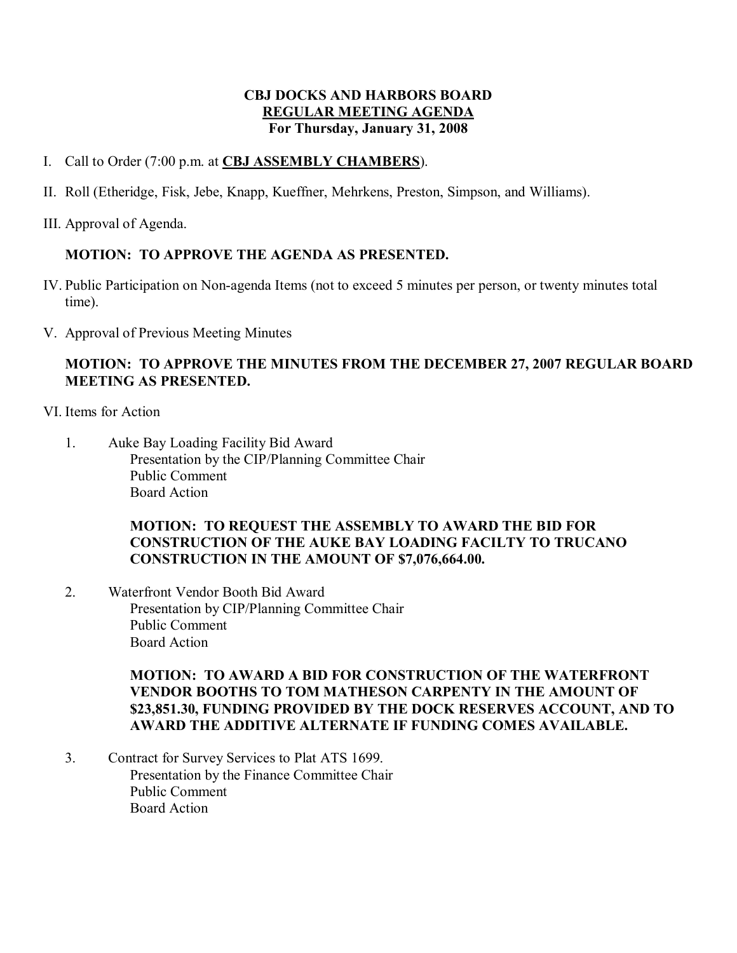## **CBJ DOCKS AND HARBORS BOARD REGULAR MEETING AGENDA For Thursday, January 31, 2008**

- I. Call to Order (7:00 p.m. at **CBJ ASSEMBLY CHAMBERS**).
- II. Roll (Etheridge, Fisk, Jebe, Knapp, Kueffner, Mehrkens, Preston, Simpson, and Williams).
- III. Approval of Agenda.

## **MOTION: TO APPROVE THE AGENDA AS PRESENTED.**

- IV. Public Participation on Nonagenda Items (not to exceed 5 minutes per person, or twenty minutes total time).
- V. Approval of Previous Meeting Minutes

## **MOTION: TO APPROVE THE MINUTES FROM THE DECEMBER 27, 2007 REGULAR BOARD MEETING AS PRESENTED.**

- VI. Items for Action
	- 1. Auke Bay Loading Facility Bid Award Presentation by the CIP/Planning Committee Chair Public Comment Board Action

## **MOTION: TO REQUEST THE ASSEMBLY TO AWARD THE BID FOR CONSTRUCTION OF THE AUKE BAY LOADING FACILTY TO TRUCANO CONSTRUCTION IN THE AMOUNT OF \$7,076,664.00.**

2. Waterfront Vendor Booth Bid Award Presentation by CIP/Planning Committee Chair Public Comment Board Action

## **MOTION: TO AWARD A BID FOR CONSTRUCTION OF THE WATERFRONT VENDOR BOOTHS TO TOM MATHESON CARPENTY IN THE AMOUNT OF \$23,851.30, FUNDING PROVIDED BY THE DOCK RESERVES ACCOUNT, AND TO AWARD THE ADDITIVE ALTERNATE IF FUNDING COMES AVAILABLE.**

3. Contract for Survey Services to Plat ATS 1699. Presentation by the Finance Committee Chair Public Comment Board Action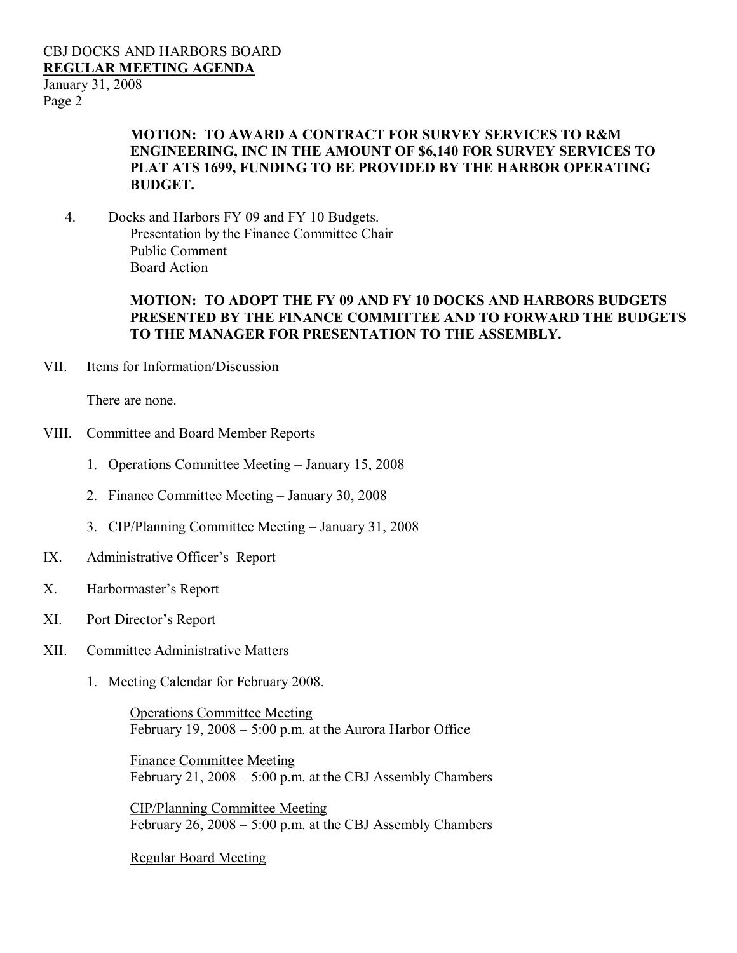## CBJ DOCKS AND HARBORS BOARD **REGULAR MEETING AGENDA**

January 31, 2008 Page 2

## **MOTION: TO AWARD A CONTRACT FOR SURVEY SERVICES TO R&M ENGINEERING, INC IN THE AMOUNT OF \$6,140 FOR SURVEY SERVICES TO PLAT ATS 1699, FUNDING TO BE PROVIDED BY THE HARBOR OPERATING BUDGET.**

4. Docks and Harbors FY 09 and FY 10 Budgets. Presentation by the Finance Committee Chair Public Comment Board Action

#### **MOTION: TO ADOPT THE FY 09 AND FY 10 DOCKS AND HARBORS BUDGETS PRESENTED BY THE FINANCE COMMITTEE AND TO FORWARD THE BUDGETS TO THE MANAGER FOR PRESENTATION TO THE ASSEMBLY.**

VII. Items for Information/Discussion

There are none.

- VIII. Committee and Board Member Reports
	- 1. Operations Committee Meeting January 15, 2008
	- 2. Finance Committee Meeting January 30, 2008
	- 3. CIP/Planning Committee Meeting January 31, 2008
- IX. Administrative Officer's Report
- X. Harbormaster's Report
- XI. Port Director's Report
- XII. Committee Administrative Matters
	- 1. Meeting Calendar for February 2008.

Operations Committee Meeting February 19, 2008 – 5:00 p.m. at the Aurora Harbor Office

Finance Committee Meeting February 21, 2008 – 5:00 p.m. at the CBJ Assembly Chambers

CIP/Planning Committee Meeting February 26, 2008 – 5:00 p.m. at the CBJ Assembly Chambers

Regular Board Meeting